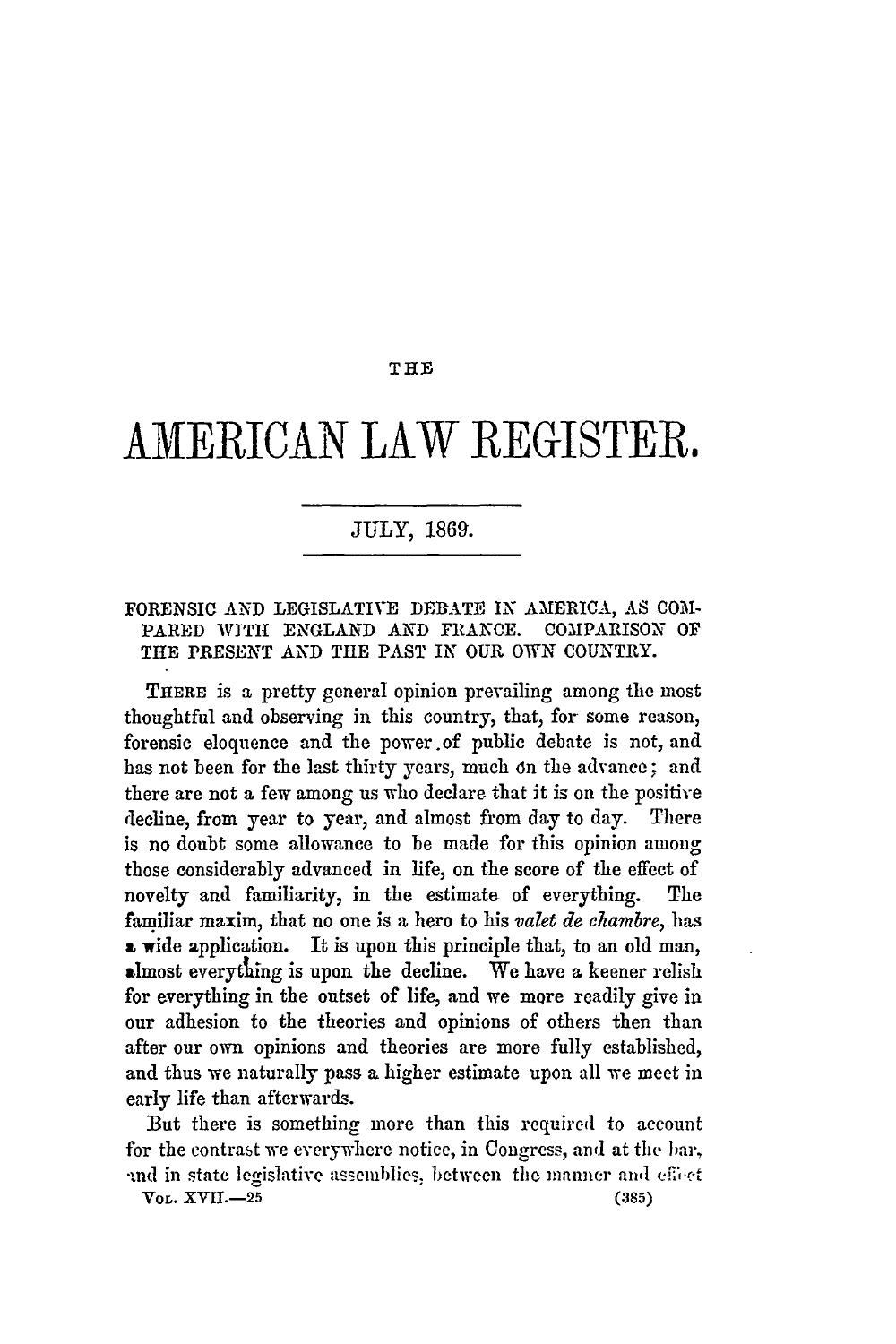### **THE**

# **AMERICAN** LAW REGISTER.

## JULY, **1869.**

#### FORENSIC AND LEGISLATIVE DEBATE IN AMERICA, AS COM-PARED WITII ENGLAND AND FRANCE. COMPARISON OF THE PRESENT AND THE **PAST** IN OUR OWN COUNTRY.

THERE is a pretty general opinion prevailing among the most thoughtful and observing in this country, that, for some reason, forensic eloquence and the power.of public debate is not, and has not been for the last thirty years, much on the advance; and there are not a few among us who declare that it is on the positive decline, from year to year, and almost from **day** to day. There is no doubt some allowance to be made for this opinion among those considerably advanced in life, on the score of the effect of novelty and familiarity, in the estimate of everything. The familiar maxim, that no one is a hero to his *valet de chambre,* has **a** wide application. It is upon this principle that, to an old man, almost everytting is upon the decline. We have a keener relish for everything in the outset of life, and we more readily give in our adhesion to the theories and opinions of others then than after our own opinions and theories are more fully established, and thus we naturally pass **a** higher estimate upon all we meet in early life than afterwards.

But there is something more than this required to account for the contrast we everywhere notice, in Congress, and at the bar, and in state legislative assemblies, between the manner and effect

**VoL.** XVII.-25 **(385)**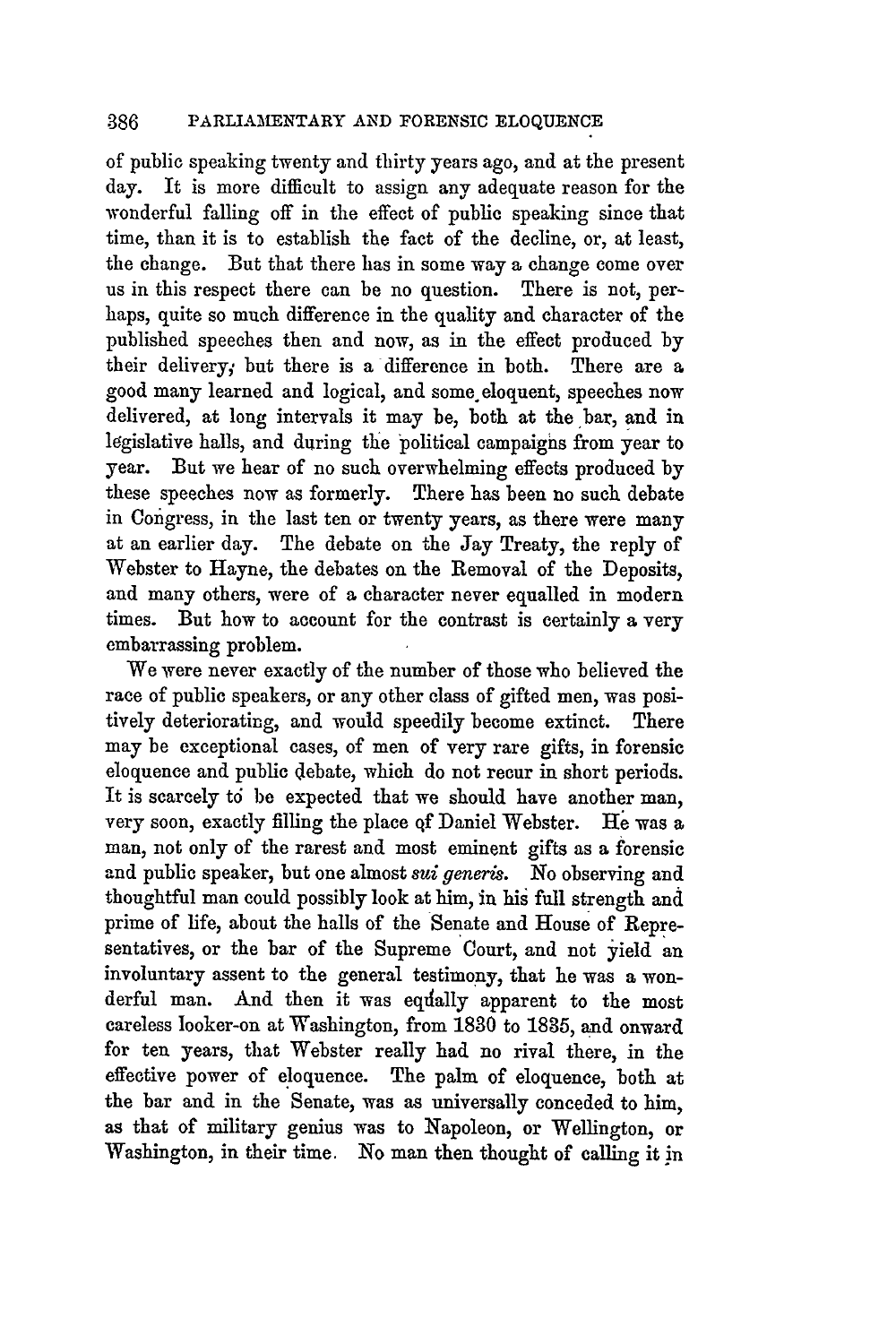of public speaking twenty and thirty years ago, and at the present day. It is more difficult to assign any adequate reason for the wonderful falling off in the effect of public speaking since that time, than it is to establish the fact of the decline, or, at least, the change. But that there has in some way a change come over us in this respect there can be no question. There is not, perhaps, quite so much difference in the quality and character of the published speeches then and now, as in the effect produced by their delivery; but there is a difference in both. There are a good many learned and logical, and some.eloquent, speeches now delivered, at long intervals it may be, both at the bar, and in legislative halls, and daring the political campaigns from year to year. But we hear of no such overwhelming effects produced by these speeches now as formerly. There has been no such debate in Congress, in the last ten or twenty years, as there were many at an earlier day. The debate on the Jay Treaty, the reply of Webster to Hayne, the debates on the Removal of the Deposits, and many others, were of a character never equalled in modern times. But how to account for the contrast is certainly a very embarrassing problem.

We were never exactly of the number of those who believed the race of public speakers, or any other class of gifted men, was positively deteriorating, and would speedily become extinct. There may be exceptional cases, of men of very rare gifts, in forensic eloquence and public debate, which do not recur in short periods. It is scarcely *t6* be expected that we should have another man, very soon, exactly filling the place qf Daniel Webster. He was a man, not only of the rarest and most eminent gifts as a forensic and public speaker, but one almost *sui generis.* No observing and thoughtful man could possibly look at him, in his full strength and prime of life, about the halls of the Senate and House of Representatives, or the bar of the Supreme Court, and not yield an involuntary assent to the general testimony, that he was a wonderful man. And then it was equally apparent to the most careless looker-on at Washington, from 1830 to 1885, and onward for ten years, that Webster really had no rival there, in the effective power of eloquence. The palm of eloquence, both at the bar and in the Senate, was as universally conceded to him, as that of military genius was to Napoleon, or Wellington, or Washington, in their time. No man then thought of calling it in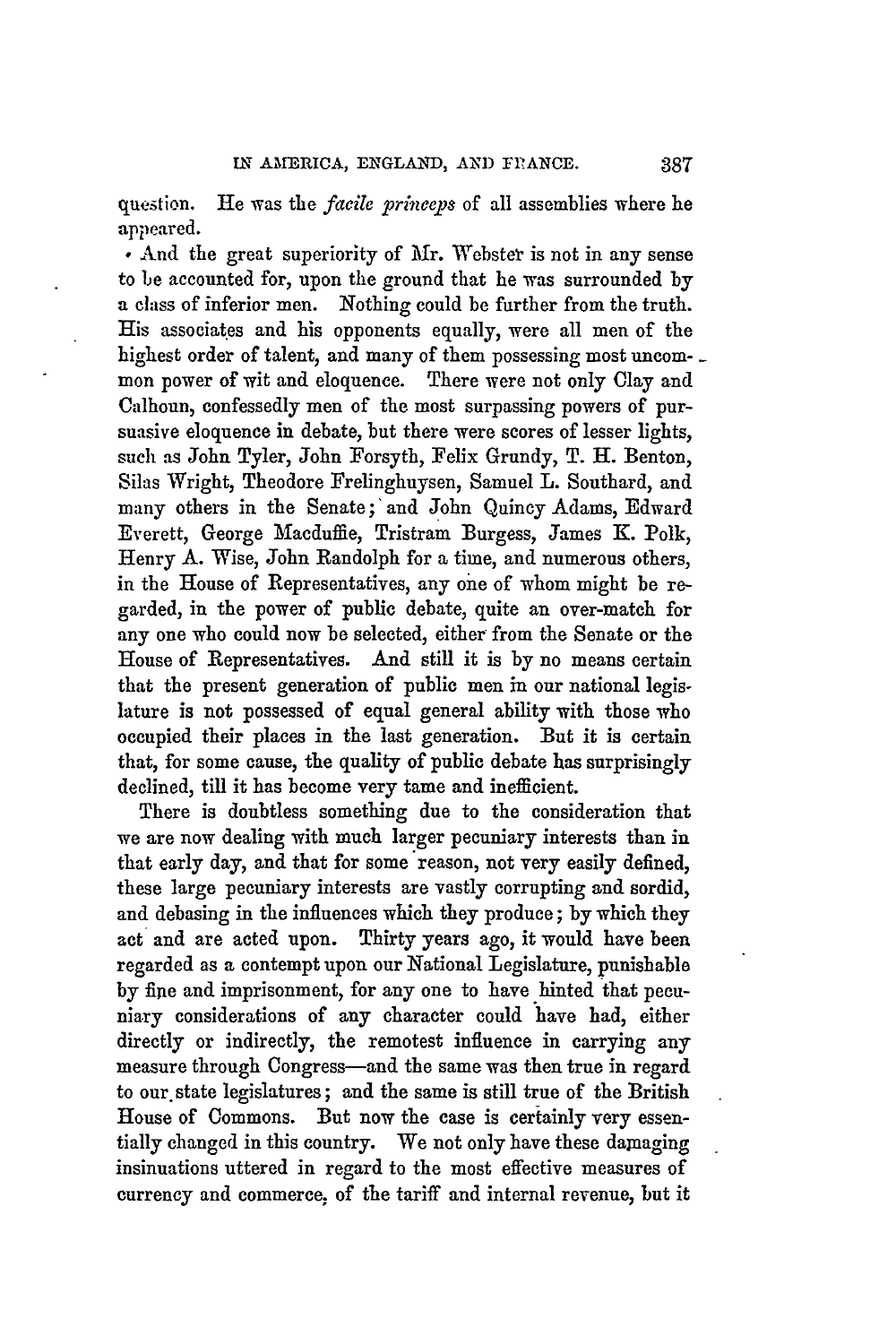question. He was the *facile princeps* of all assemblies where he appeared.

• And the great superiority of Mr. Webster is not in any sense to be accounted for, upon the ground that he was surrounded by a class of inferior men. Nothing could be further from the truth. His associates and his opponents equally, were all men of the highest order of talent, and many of them possessing most uncommon power of wit and eloquence. There were not only Clay and Calhoun, confessedly men of the most surpassing powers of pursuasive eloquence in debate, but there were scores of lesser lights, such as John Tyler, John Forsyth, Felix Grundy, T. H. Benton, Silas Wright, Theodore Frelinghuysen, Samuel L. Southard, and many others in the Senate; and John Quincy Adams, Edward Everett, George Macduffie, Tristram Burgess, James K. Polk, Henry A. Wise, John Randolph for a time, and numerous others, in the House of Representatives, any one of whom might be regarded, in the power of public debate, quite an over-match for any one who could now be selected, either from the Senate or the House of Representatives. And still it is by no means certain that the present generation of public men in our national legislature is not possessed of equal general ability with those who occupied their places in the last generation. But it is certain that, for some cause, the quality of public debate has surprisingly declined, till it has become very tame and inefficient.

There is doubtless something due to the consideration that we are now dealing with much larger pecuniary interests than in that early day, and that for some reason, not very easily defined, these large pecuniary interests are vastly corrupting and sordid, and debasing in the influences which they produce; by which they act and are acted upon. Thirty years ago, it would have been regarded as a contempt upon our National Legislature, punishable by fine and imprisonment, for any one to have hinted that pecuniary considerations of any character could have had, either directly or indirectly, the remotest influence in carrying any measure through Congress—and the same was then true in regard to our. state legislatures; and the same is still true of the British House of Commons. But now the case is certainly very essentially changed in this country. We not only have these damaging insinuations uttered in regard to the most effective measures of currency and commerce, of the tariff and internal revenue, but it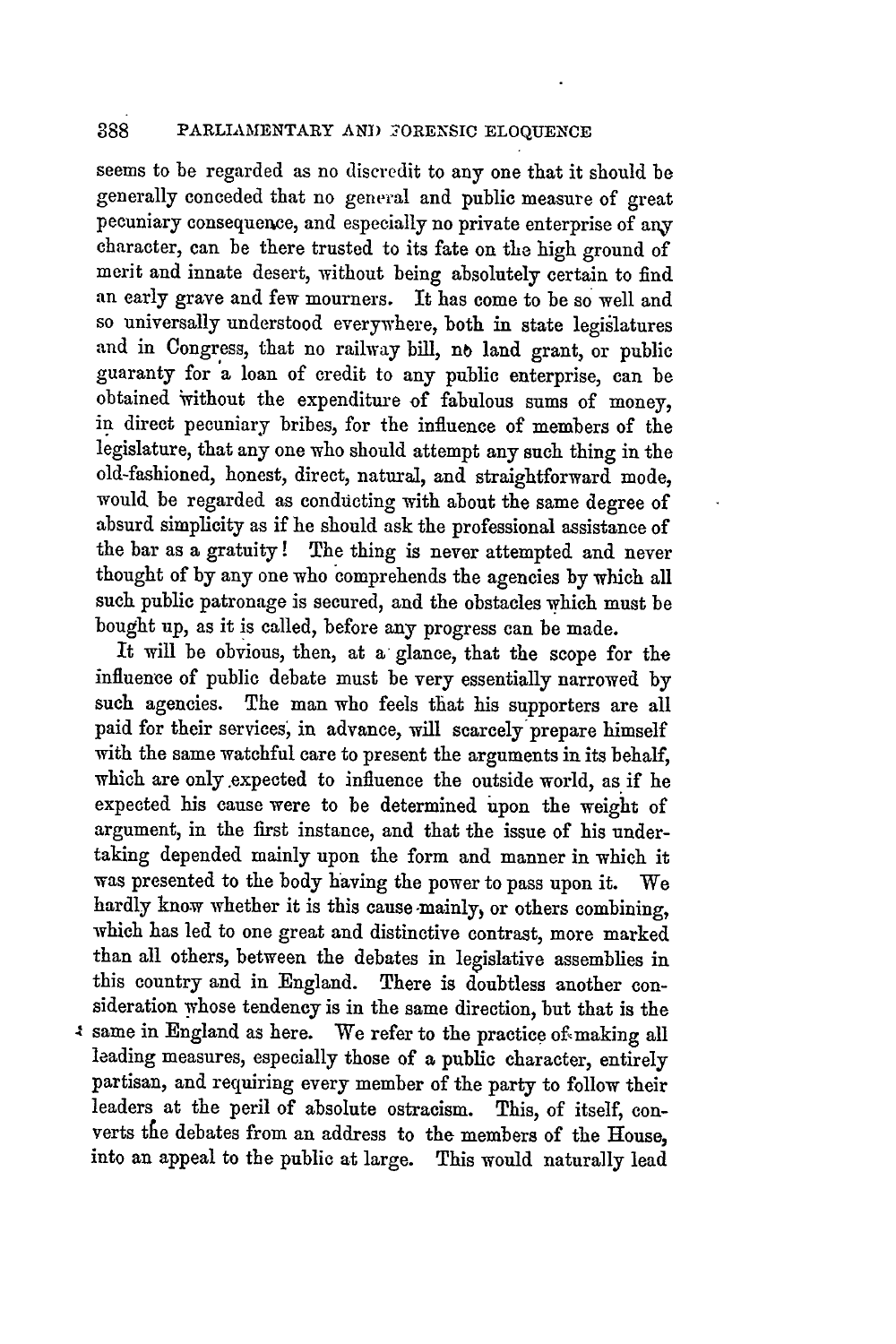seems to be regarded as no discredit to any one that it should be generally conceded that no general and public measure of great pecuniary consequence, and especially no private enterprise of anv character, can be there trusted to its fate on the high ground of merit and innate desert, without being absolutely certain to find an early grave and few mourners. It has come to be so well and so universally understood everywhere, both in state legislatures and in Congress, that no railway bill, no land grant, or public guaranty for a loan of credit to any public enterprise, can be obtained Without the expenditure of fabulous sums of money, in direct pecuniary bribes, for the influence of members of the legislature, that any one who should attempt any such thing in the old-fashioned, honest, direct, natural, and straightforward mode, would be regarded as conducting with about the same degree of absurd simplicity as if he should ask the professional assistance of the bar as a gratuity! The thing is never attempted and never thought of by any one who comprehends the agencies by which all such public patronage is secured, and the obstacles which must be bought up, as it is called, before any progress can be made.

It will be obvious, then, at a glance, that the scope for the influence of public debate must be very essentially narrowed **by** such agencies. The man who feels that his supporters are all paid for their services, in advance, will scarcely prepare himself with the same watchful care to present the arguments in its behalf, which are only expected to influence the outside world, as if he expected his cause were to be determined upon the weight of argument, in the first instance, and that the issue of his undertaking depended mainly upon the form and manner in which it was presented to the body having the power to pass upon it. We hardly know whether it is this cause mainly, or others combining, which has led to one great and distinctive contrast, more marked than all others, between the debates in legislative assemblies in this country and in England. There is doubtless another consideration whose tendency is in the same direction, but that is the same in England as here. We refer to the practice of making all leading measures, especially those of a public character, entirely partisan, and requiring every member of the party to follow their leaders at the peril of absolute ostracism. This, of itself, converts the debates from an address to the members of the House, into an appeal to the public at large. This would naturally lead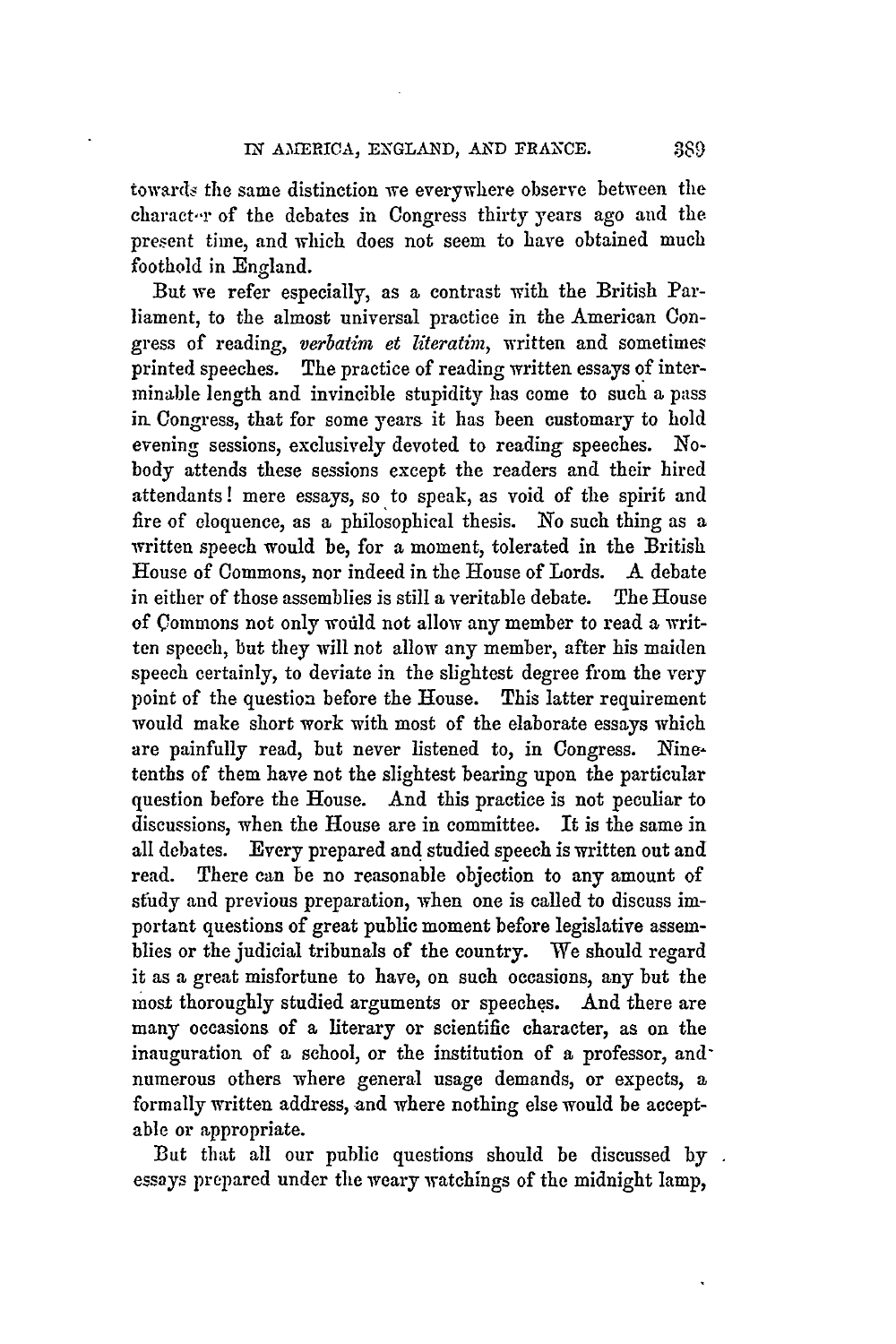towards the same distinction we everywhere observe between the character of the debates in Congress thirty years ago and the present time, and which does not seem to have obtained much foothold in England.

Bat we refer especially, as a contrast with the British Parliament, to the almost universal practice in the American Congress of reading, *verbatim et literatim,* written and sometimes printed speeches. The practice of reading written essays of interminable length and invincible stupidity has come to such a pass **ii** Congress, that for some years it has been customary to hold evening sessions, exclusively devoted to reading speeches. Nobody attends these sessions except the readers and their hired attendants! mere essays, so to speak, as void of the spirit and fire of eloquence, as a philosophical thesis. No such thing as a written speech would be, for a moment, tolerated in the British House of Commons, nor indeed in the House of Lords. A debate in either of those assemblies is still a veritable debate. The House of Commons not only would not allow any member to read a written speech, but they will not allow any member, after his maiden speech certainly, to deviate in the slightest degree from the very point of the question before the House. This latter requirement would make short work with most of the elaborate essays which are painfully read, but never listened to, in Congress. Ninetenths of them have not the slightest bearing upon the particular question before the House. And this practice is not peculiar to discussions, when the House are in committee. It is the same in all debates. Every prepared and studied speech is written out and read. There can be no reasonable objection to any amount **of** study and previous preparation, when one is called to discuss important questions of great public moment before legislative assemblies or the judicial tribunals of the country. We should regard it as a great misfortune to have, on such occasions, any but the most thoroughly studied arguments or speeches. And there are many occasions of a literary or scientific character, as on the inauguration of a school, or the institution of a professor, andnumerous others where general usage demands, or expects, a formally written address, and where nothing else would be acceptable or appropriate.

But that all our public questions should be discussed **by** essays prepared under the weary watchings of the midnight lamp,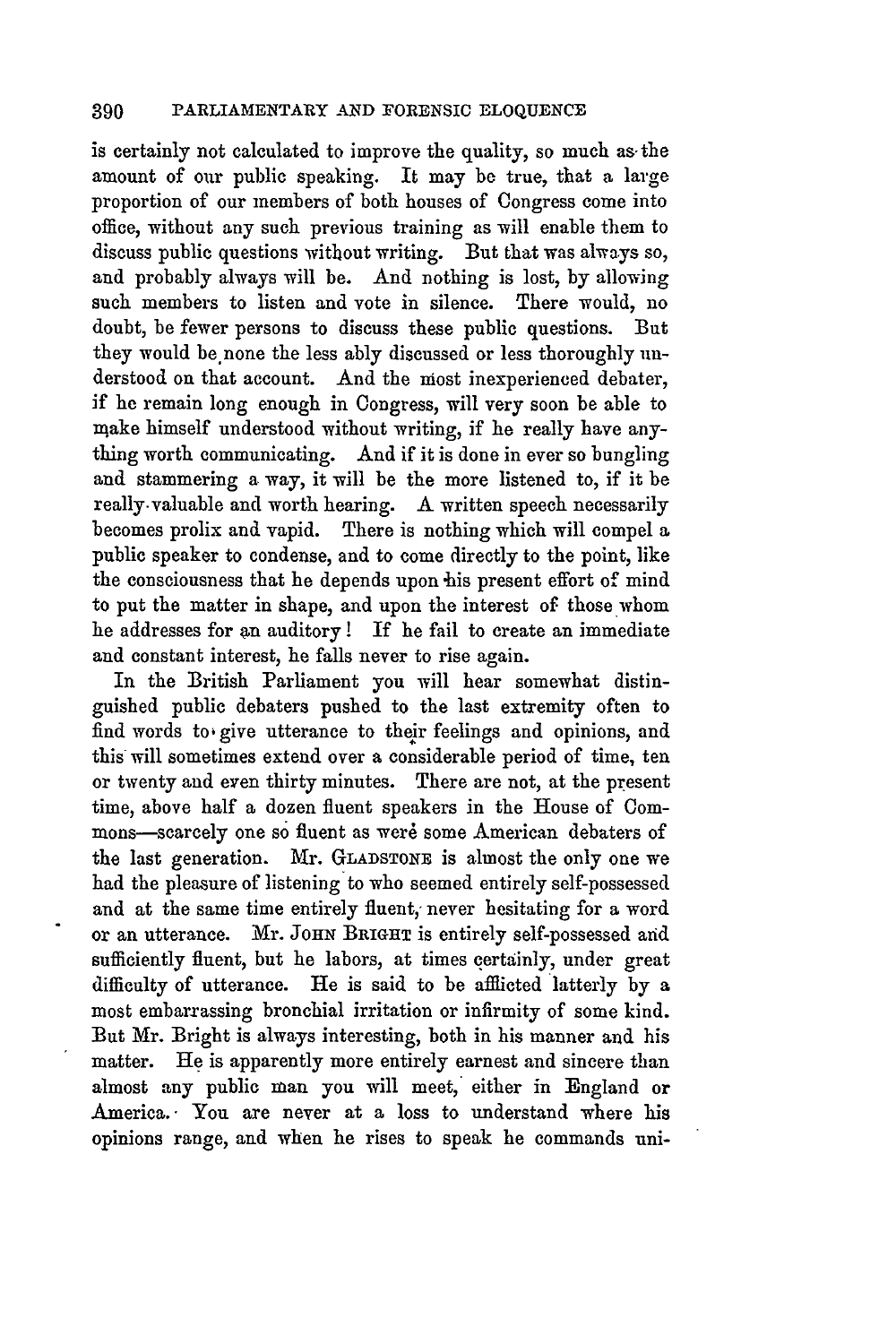is certainly not calculated to improve the quality, so much as-the amount of our public speaking. It may be true, that a large proportion of our members of both houses of Congress come into office, without any such previous training as will enable them to discuss public questions without writing. But that was always so, and probably always will be. And nothing is lost, by allowing such members to listen and vote in silence. There would, no doubt, be fewer persons to discuss these public questions. But they would be none the less ably discussed or less thoroughly understood on that account. And the most inexperienced debater, if he remain long enough in Congress, will very soon be able to make himself understood without writing, if he really have anything worth communicating. And if it is done in ever so bungling and stammering a way, it will be the more listened to, if it be really valuable and worth hearing. A written speech necessarily becomes prolix and vapid. There is nothing which will compel a public speaker to condense, and to come directly to the point, like the consciousness that he depends upon his present effort of mind to put the matter in shape, and upon the interest of those whom he addresses for an auditory! If he fail to create an immediate and constant interest, he falls never to rise again.

In the British Parliament you will hear somewhat distinguished public debaters pushed to the last extremity often to find words **to;** give utterance to their feelings and opinions, and this will sometimes extend over a considerable period of time, ten or twenty and even thirty minutes. There are not, at the present time, above half a dozen fluent speakers in the House of Commons-scarcely one so fluent as were some American debaters of the last generation. Mr. **GLADSTONE** is almost the only one we had the pleasure of listening to who seemed entirely self-possessed and at the same time entirely fluent, never hesitating for a word or an utterance. Mr. **JOHN** BRIGHT is entirely self-possessed and sufficiently fluent, but he labors, at times certainly, under great difficulty of utterance. He is said to be afflicted latterly by a most embarrassing bronchial irritation or infirmity of some kind. But Mr. Bright is always interesting, both in his manner and his matter. He is apparently more entirely earnest and sincere than almost any public man you will meet, either in England or America. You are never at a loss to understand where his opinions range, and when he rises to speak he commands uni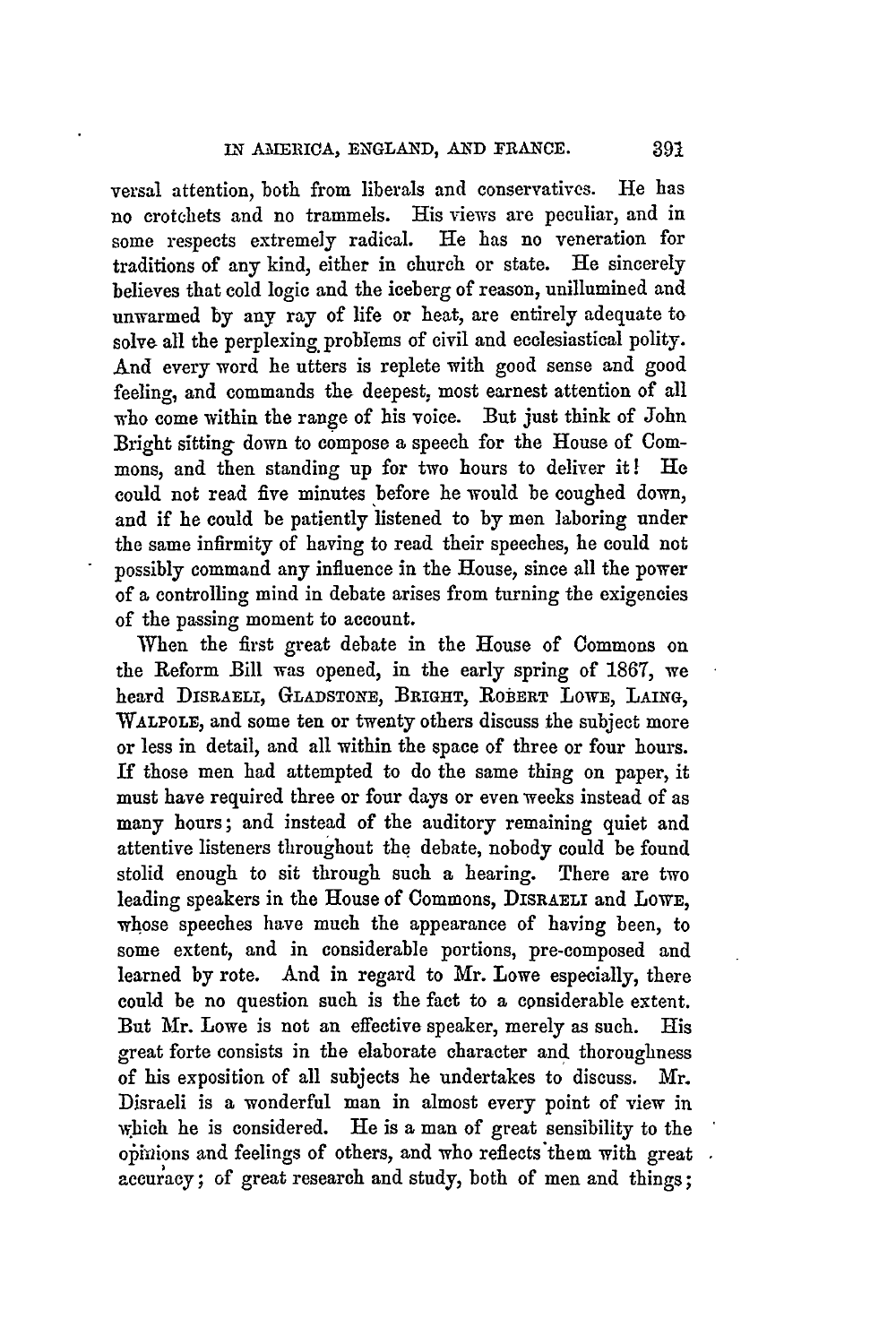versal attention, both from liberals and conservatives. He has no crotchets and no trammels. His views are peculiar, and in some respects extremely radical. He has no veneration for traditions of any kind, either in church or state. He sincerely believes that cold logic and the iceberg of reason, unillumined and unwarmed by any ray of life or heat, are entirely adequate to solve all the perplexing problems of civil and ecclesiastical polity. And every word he utters is replete with good sense and good feeling, and commands the deepest, most earnest attention of all who come within the range of his voice. But just think of John Bright sitting down to compose a speech for the House of Commons, and then standing up for two hours to deliver it! He could not read five minutes before he would be coughed down, and if he could be patiently listened to by men laboring under the same infirmity of having to read their speeches, he could not possibly command any influence in the House, since all the power of **a** controlling mind in debate arises from turning the exigencies of the passing moment to account.

When the first great debate in the House of Commons on the Reform Bill was opened, in the early spring of 1867, we heard DISRAELI, GLADSTONE, BRIGHT, ROBERT LOWE, LAING, **WALPOLE,** and some ten or twenty others discuss the subject more or less in detail, and all within the space of three or four hours. If those men had attempted to do the same thing on paper, it must have required three or four days or even weeks instead of as many hours; and instead of the auditory remaining quiet and attentive listeners throughout **the** debate, nobody could be found stolid enough to sit through such a hearing. There are two leading speakers in the House of Commons, DISRAELI and **LowE,** whose speeches have much the appearance of having been, to some extent, and in considerable portions, pre-composed and learned **by** rote. And in regard to Mr. Lowe especially, there could be no question such is the fact to a considerable extent. **But** Mr. Lowe is not an effective speaker, merely as such. His great forte consists in the elaborate character and thoroughness of his exposition of all subjects he undertakes to discuss. Mr. Disraeli is a wonderful man in almost every point of view in which he is considered. He is a man of great sensibility to the opinions and feelings of others, and who reflects them with great accuracy; of great research and study, both of men and things;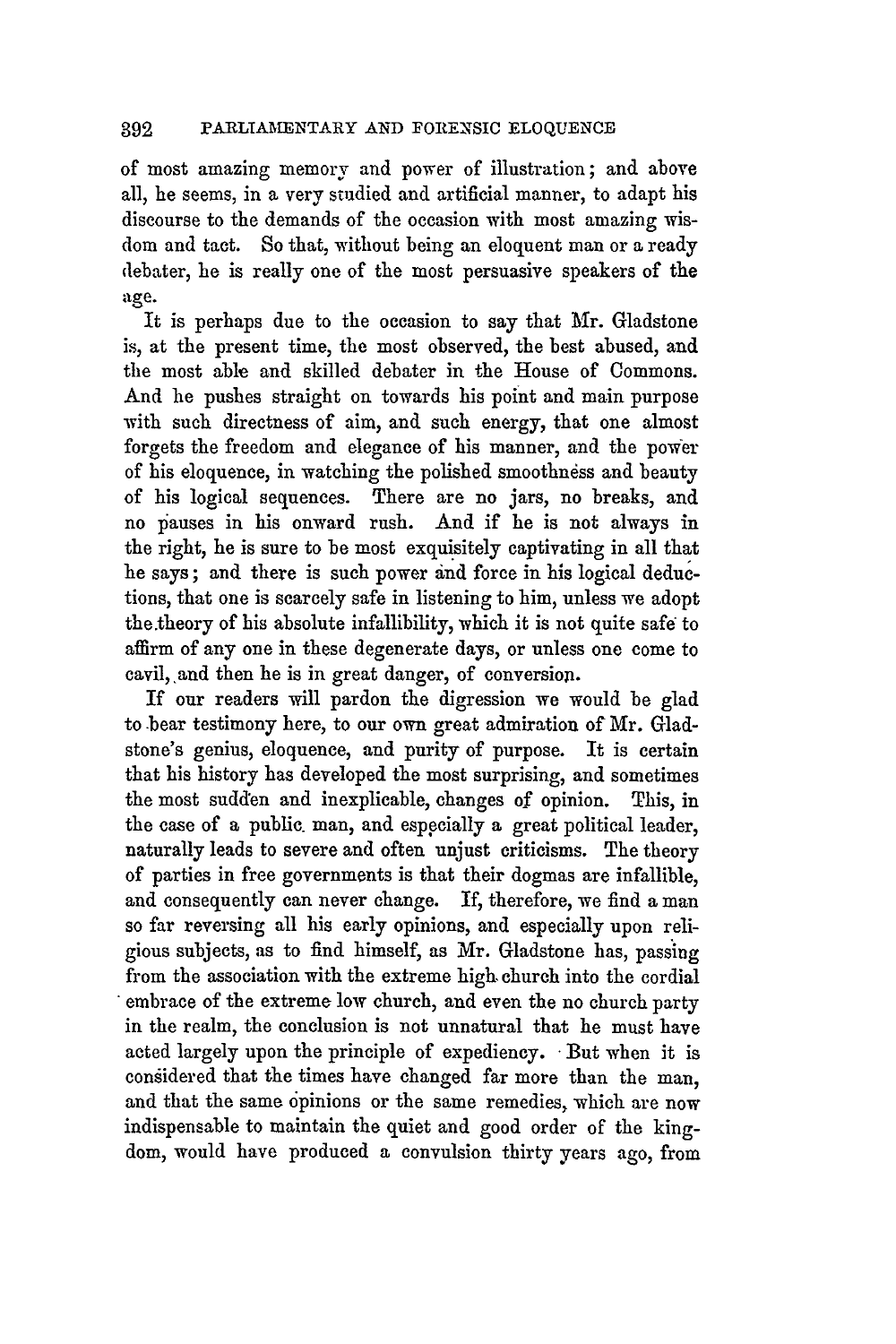of most amazing memory and power of illustration; and above all, he seems, in a very studied and artificial manner, to adapt his discourse to the demands of the occasion with most amazing wisdom and tact. So that, without being an eloquent man or a ready debater, he is really one of the most persuasive speakers of the age.

It is perhaps due to the occasion to say that Mr. Gladstone is, at the present time, the most observed, the best abused, and the most able and skilled debater in the House of Commons. And he pushes straight on towards his point and main purpose with such directness of aim, and such energy, that one almost forgets the freedom and elegance of his manner, and the power of his eloquence, in watching the polished smoothness and beauty of his logical sequences. There are no jars, no breaks, and no pauses in his onward rush. And if he is not always in the right, he is sure to be most exquisitely captivating in all that he says; and there is such power and force in his logical deductions, that one is scarcely safe in listening to him, unless we adopt the .theory of his absolute infallibility, which it is not quite safe to affirm of any one in these degenerate days, or unless one come to cavil, and then he is in great danger, of conversion.

If our readers will pardon the digression we would be glad to bear testimony here, to our own great admiration of Mr. Gladstone's genius, eloquence, and purity of purpose. It is certain that his history has developed the most surprising, and sometimes the most sudden and inexplicable, changes **of** opinion. This, in the case of a public, man, and esppcially a great political leader, naturally leads to severe and often unjust criticisms. The theory of parties in free governments is that their dogmas are infallible, and consequently can never change. If, therefore, we find a man so far reversing all his early opinions, and especially upon religious subjects, as to find himself, as Mr. Gladstone has, passing from the association with the extreme high, church into the cordial embrace of the extreme low church, and even the no church party in the realm, the conclusion is not unnatural that he must have acted largely upon the principle of expediency. But when it is considered that the times have changed far more than the man, and that the same opinions or the same remedies, which are now indispensable to maintain the quiet and good order of the kingdom, would have produced a convulsion thirty years ago, from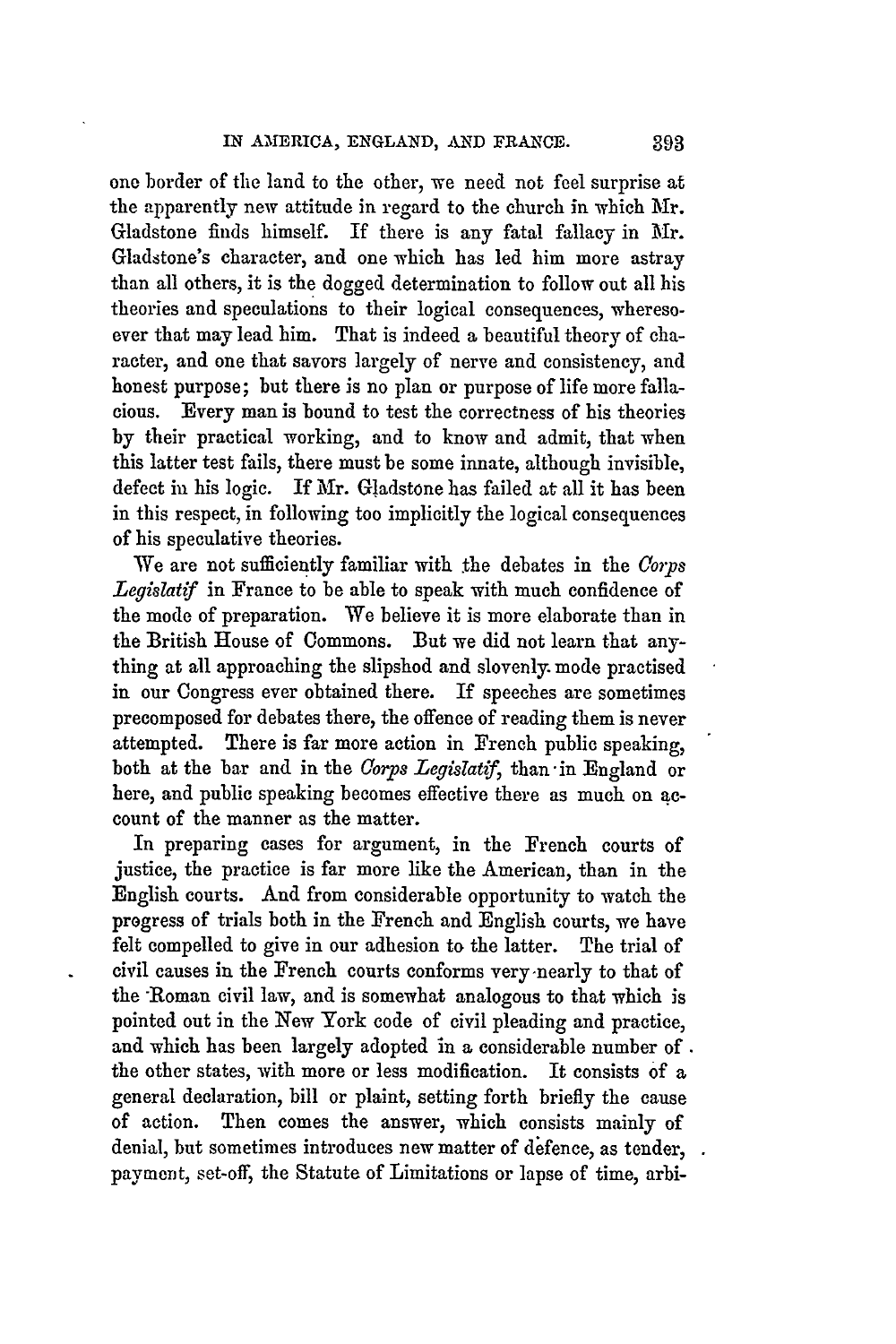one border of the land to the other, we need not feel surprise at the apparently new attitude in regard to the church **ia** which Mr. Gladstone finds himself. If there is any fatal fallacy in Mr. Gladstone's character, and one which has led him more astray than all others, it is the dogged determination to follow out all his theories and speculations to their logical consequences, wheresoever that may lead him. That is indeed a beautiful theory of character, and one that savors largely of nerve and consistency, and honest purpose; but there is no plan or purpose of life more fallacious. Every man is bound to test the correctness of his theories by their practical working, and to know and admit, that when this latter test fails, there must be some innate, although invisible, defect in his logic. If Mr. Gladstone has failed at all it has been in this respect, in following too implicitly the logical consequences of his speculative theories.

We are not sufficiently familiar with the debates in the *Corps Legislatif* in France to be able to speak with much confidence of the mode of preparation. We believe it is more elaborate than in the British House of Commons. But we did not learn that anything at all approaching the slipshod and slovenly, mode practised in our Congress ever obtained there. If speeches are sometimes precomposed for debates there, the offence of reading them is never attempted. There is far more action in French public speaking, both at the bar and in the *Corps Legislatif,* than' in England or here, and public speaking becomes effective there as much on **ac**count of the manner as the matter.

In preparing cases for argument, in the French courts of justice, the practice is far more like the American, than in the English courts. And from considerable opportunity to watch the progress of trials both in the French and English courts, we have felt compelled to give in our adhesion to the latter. The trial of civil causes in the French courts conforms very-nearly to that of the -Roman civil law, and is somewhat analogous to that which is pointed out in the New York code of civil pleading and practice, and which has been largely adopted in a considerable number of. the other states, with more or less modification. It consists of a general declaration, bill or plaint, setting forth briefly the cause of action. Then comes the answer, which consists mainly of denial, but sometimes introduces new matter of defence, as tender, . payment, set-off, the Statute of Limitations or lapse of time, arbi-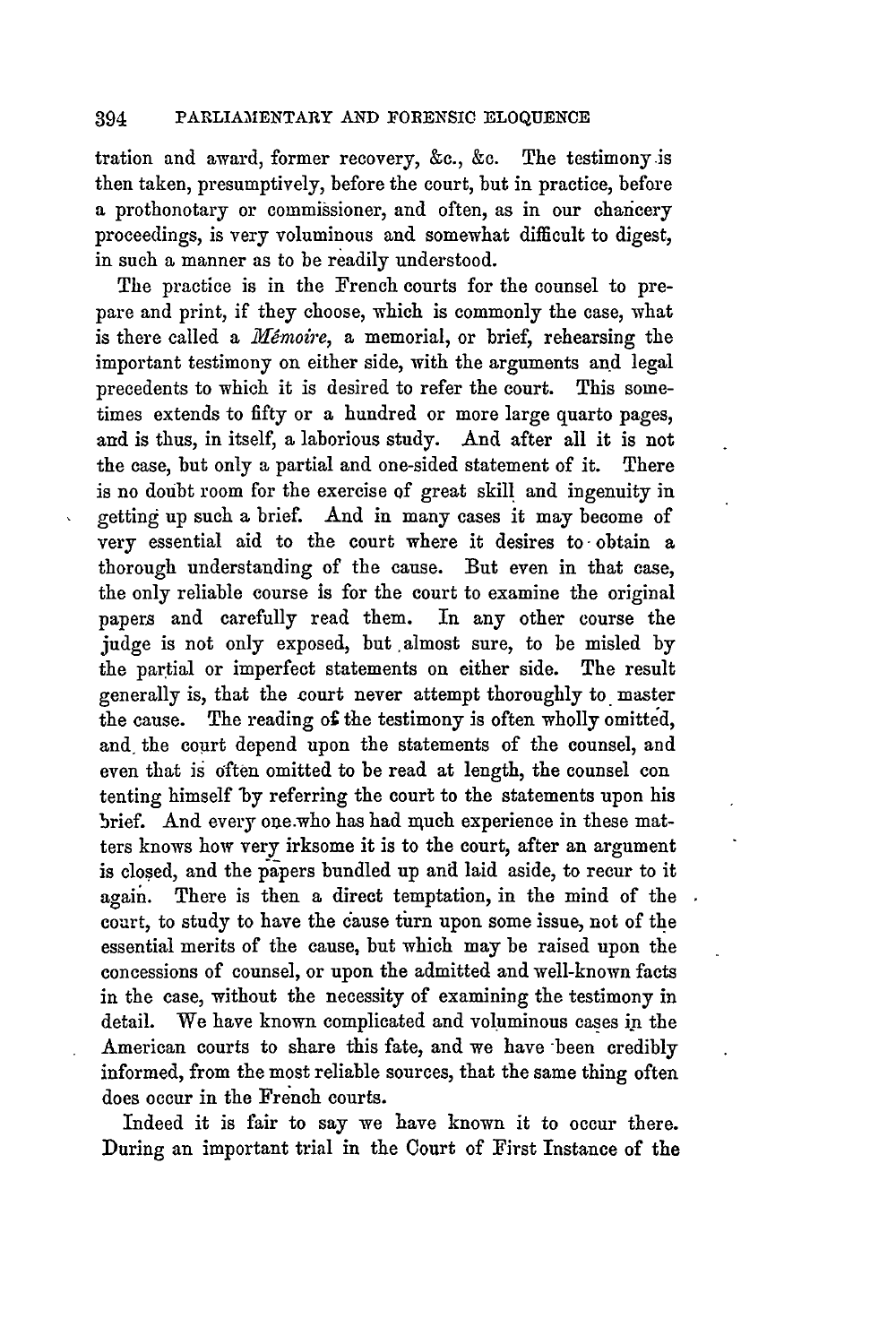#### 394 PARLIAMENTARY **AND** FORENSIC **ELOQUENCE**

tration and award, former recovery, &c., **&c.** The testimony is then taken, presumptively, before the court, but in practice, before a prothonotary or commissioner, and often, as in our chancery proceedings, is very voluminous and somewhat difficult to digest, in such a manner as to be readily understood.

The practice is in the French courts for the counsel to prepare and print, if they choose, which is commonly the case, what is there called a *Mémoire*, a memorial, or brief, rehearsing the important testimony on either side, with the arguments and legal precedents to which it is desired to refer the court. This sometimes extends to fifty or a hundred or more large quarto pages, and is thus, in itself, a laborious study. And after all it is not the case, but only **a** partial and one-sided statement of it. There is no doubt room for the exercise **of** great skill and ingenuity in getting up such a brief. And in many cases it may become of very essential aid to the court where it desires to obtain a thorough understanding of the cause. But even in that case, the only reliable course is for the court to examine the original papers and carefully read them. In any other course the **judge** is not only exposed, but almost sure, to be misled **by** the partial or imperfect statements on either side. The result generally is, that the court never attempt thoroughly **to.** master the cause. The reading of the testimony is often wholly omitted, and the court depend upon the statements of the counsel, and even that is often omitted to be read at length, the counsel con tenting himself **'by** referring the court to the statements upon his brief. And every one who has had much experience in these matters knows how very irksome it is to the court, after an argument is closed, and the papers bundled up and laid aside, to recur to it again. There is then a direct temptation, in the mind of the court, to study to have the cause **turn** upon some issue, not of the essential merits of the cause, but which may be raised upon the concessions of counsel, or upon the admitted and well-known facts in the case, without the necessity of examining the testimony in detail. We have known complicated and voluminous cases **in** the American courts to share this fate, and we have been credibly informed, from the most reliable sources, that the same thing often does occur in the French courts.

Indeed it is fair to say we have known it to occur there. During an important trial in the Court of First Instance of the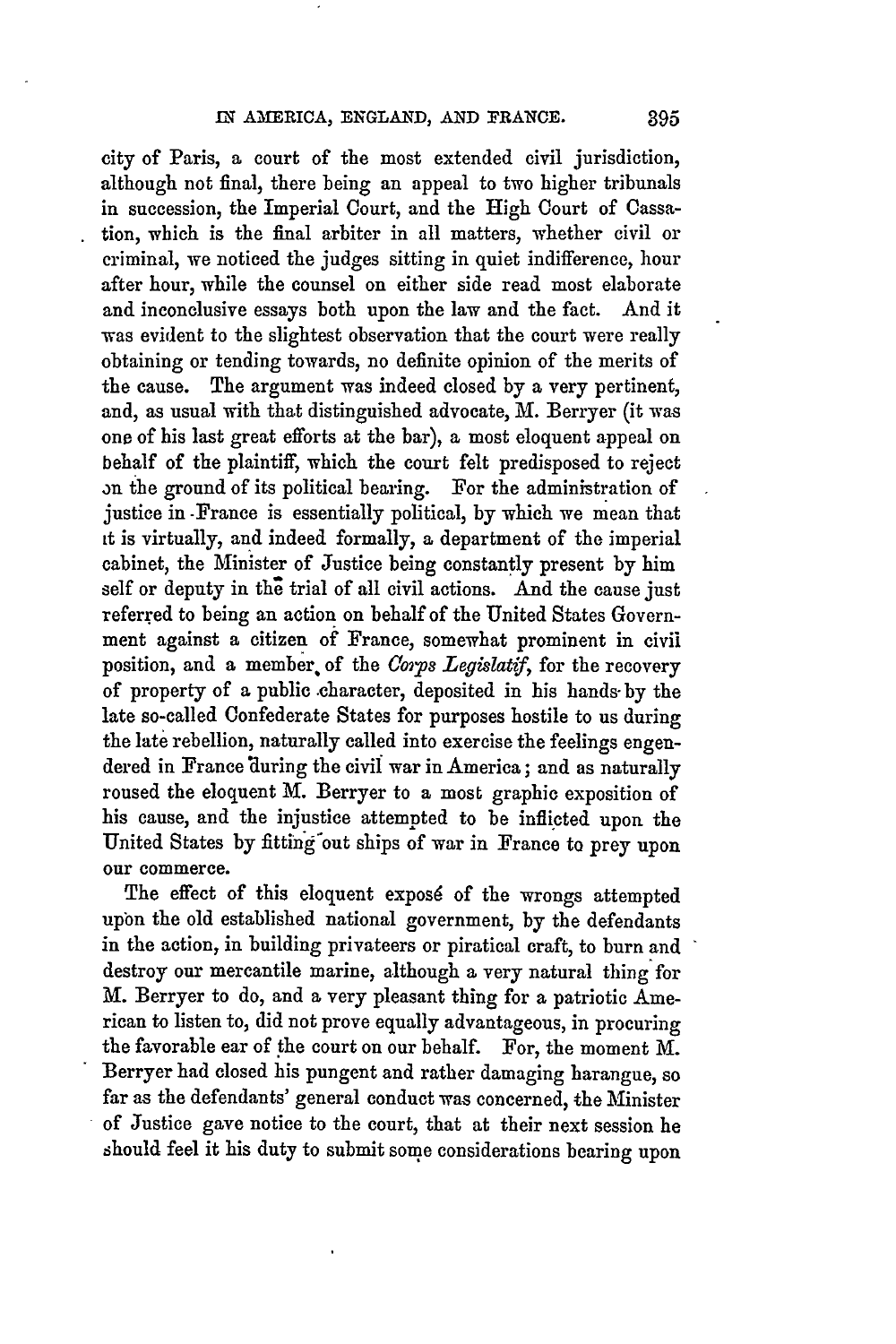city of Paris, a court of the most extended civil jurisdiction, although not final, there being an appeal to two higher tribunals in succession, the Imperial Court, and the High Court of Cassation, which is the final arbiter in all matters, whether civil or criminal, we noticed the judges sitting in quiet indifference, hour after hour, while the counsel on either side read most elaborate and inconclusive essays both upon the law and the fact. And it was evident to the slightest observation that the court were really obtaining or tending towards, no definite opinion of the merits of the cause. The argument was indeed closed by a very pertinent, and, as usual with that distinguished advocate, M. Berryer (it was one of his last great efforts at the bar), a most eloquent appeal on behalf of the plaintiff, which the court felt predisposed to reject an the ground of its political bearing. For the administration of justice in -France is essentially political, by which we mean that **it** is virtually, and indeed formally, a department of the imperial cabinet, the Minister of Justice being constantly present by him self or deputy in the trial of all civil actions. And the cause just referred to being an action on behalf of the United States Government against a citizen of France, somewhat prominent in civil position, and a member of the *Corps Legislatif*, for the recovery of property of a public .character, deposited in his hands- by the late so-called Confederate States for purposes hostile to us during the late rebellion, naturally called into exercise the feelings engendered in France during the civil war in America; and as naturally roused the eloquent M. Berryer to a most graphic exposition of his cause, and the injustice attempted to be inflicted upon the United States by fitting out ships of war in France to prey upon our commerce.

The effect of this eloquent exposé of the wrongs attempted upon the old established national government, by the defendants in the action, in building privateers or piratical craft, to burn and destroy our mercantile marine, although a very natural thing for M. Berryer to do, and a very pleasant thing for a patriotic American to listen to, did not prove equally advantageous, in procuring the favorable ear of the court on our behalf. For, the moment **M.** Berryer had closed his pungent and rather damaging harangue, so far as the defendants' general conduct was concerned, the Minister of Justice gave notice to the court, that at their next session he should feel it his duty to submit some considerations bearing upon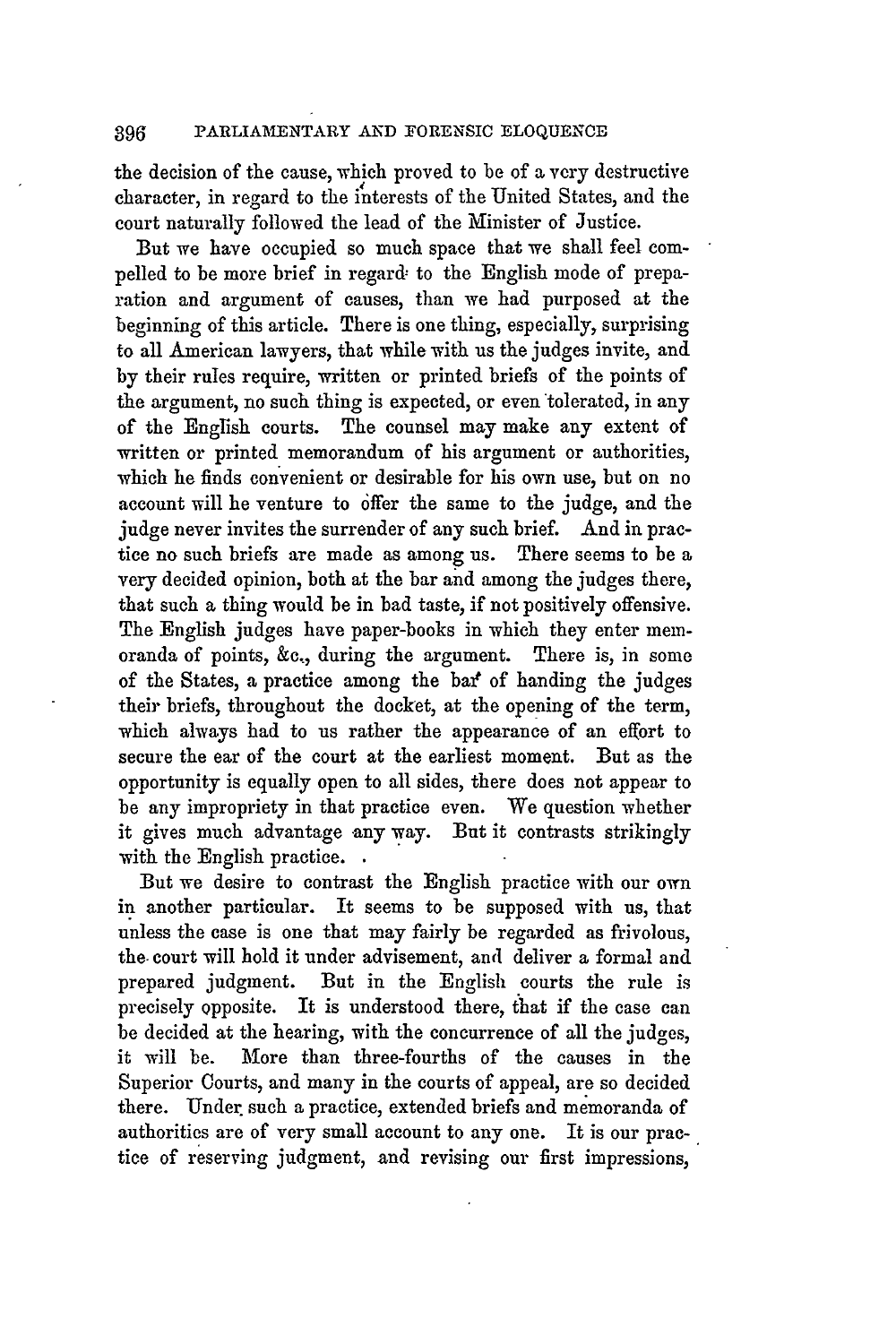the decision of the cause, which proved to be of a very destructive character, in regard to the interests of the United States, and the court naturally followed the lead of the Minister of Justice.

But we have occupied so much space that we shall feel compelled to be more brief in regard- to the English mode of preparation and argument of causes, than we had purposed at the beginning of this article. There is one thing, especially, surprising to all American lawyers, that while with us the judges invite, and by their rules require, written or printed briefs of the points of the argument, no such thing is expected, or even tolerated, in any of the English courts. The counsel may make any extent of written or printed memorandum of his argument or authorities, which he finds convenient or desirable for his own use, but on no account will he venture to 6ffer the same to the judge, and the judge never invites the surrender of any such brief. And in practice no such briefs are made as among us. There seems to be a very decided opinion, both at the bar and among the judges there, that such a thing would be in bad taste, if not positively offensive. The English judges have paper-books in which they enter memoranda of points, &c., during the argument. There is, in some of the States, a practice among the bar of handing the judges their briefs, throughout the docket, at the opening of the term, which always had to us rather the appearance of an efort to secure the ear of the court at the earliest moment. But as the opportunity is equally open to all sides, there does not appear to be any impropriety in that practice even. We question whether it gives much advantage any way. But it contrasts strikingly with the English practice...

But we desire to contrast the English practice with our own in another particular. It seems to be supposed with us, that unless the case is one that may fairly be regarded as frivolous, the. court will hold it under advisement, and deliver a formal and prepared judgment. But in the English courts the rule is precisely opposite. It is understood there, that if the case can be decided at the hearing, with the concurrence of all the judges, it will be. More than three-fourths of the causes in the Superior Courts, and many in the courts of appeal, are so decided there. Under such a practice, extended briefs and memoranda of authorities are of very small account to any one. It is our practice of reserving judgment, and revising our first impressions,